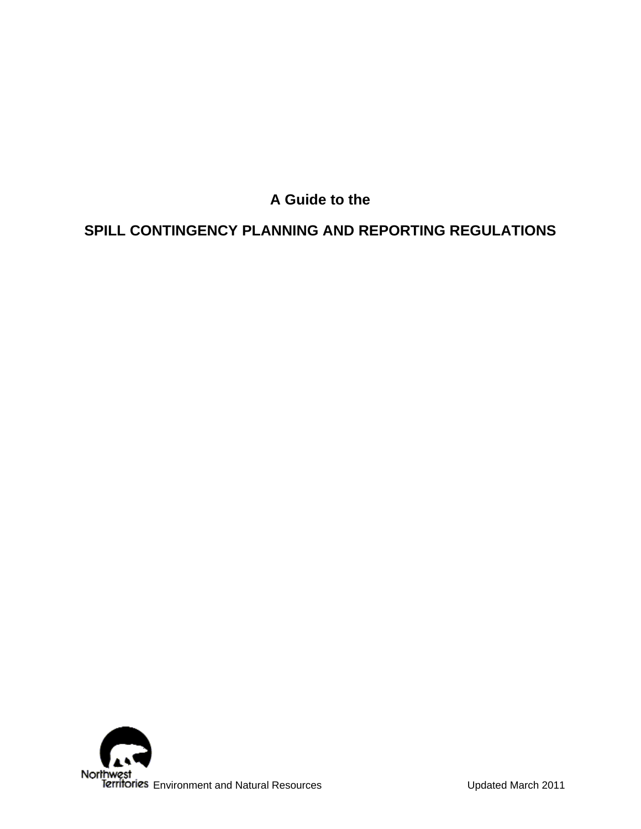**A Guide to the** 

# **SPILL CONTINGENCY PLANNING AND REPORTING REGULATIONS**

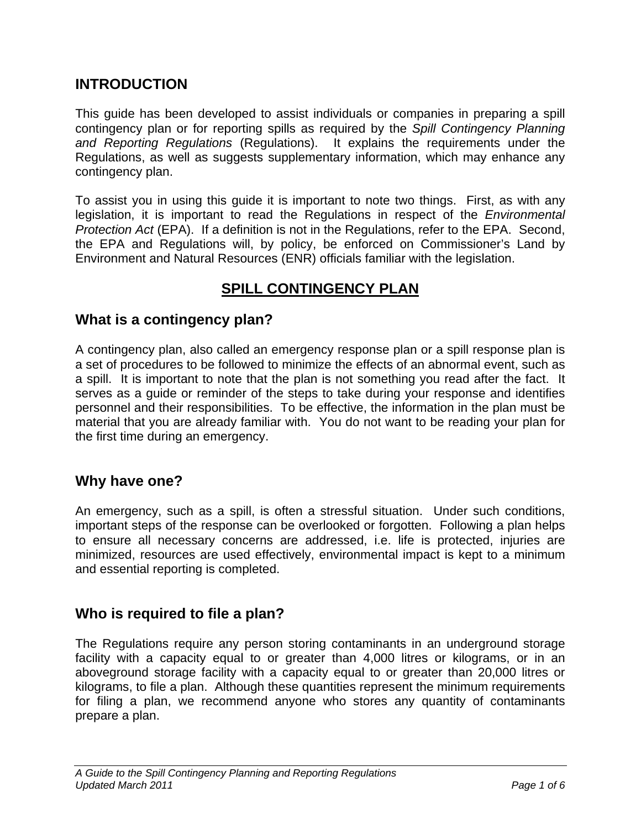# **INTRODUCTION**

This guide has been developed to assist individuals or companies in preparing a spill contingency plan or for reporting spills as required by the *Spill Contingency Planning and Reporting Regulations* (Regulations). It explains the requirements under the Regulations, as well as suggests supplementary information, which may enhance any contingency plan.

To assist you in using this guide it is important to note two things. First, as with any legislation, it is important to read the Regulations in respect of the *Environmental Protection Act* (EPA). If a definition is not in the Regulations, refer to the EPA. Second, the EPA and Regulations will, by policy, be enforced on Commissioner's Land by Environment and Natural Resources (ENR) officials familiar with the legislation.

# **SPILL CONTINGENCY PLAN**

## **What is a contingency plan?**

A contingency plan, also called an emergency response plan or a spill response plan is a set of procedures to be followed to minimize the effects of an abnormal event, such as a spill. It is important to note that the plan is not something you read after the fact. It serves as a guide or reminder of the steps to take during your response and identifies personnel and their responsibilities. To be effective, the information in the plan must be material that you are already familiar with. You do not want to be reading your plan for the first time during an emergency.

## **Why have one?**

An emergency, such as a spill, is often a stressful situation. Under such conditions, important steps of the response can be overlooked or forgotten. Following a plan helps to ensure all necessary concerns are addressed, i.e. life is protected, injuries are minimized, resources are used effectively, environmental impact is kept to a minimum and essential reporting is completed.

## **Who is required to file a plan?**

The Regulations require any person storing contaminants in an underground storage facility with a capacity equal to or greater than 4,000 litres or kilograms, or in an aboveground storage facility with a capacity equal to or greater than 20,000 litres or kilograms, to file a plan. Although these quantities represent the minimum requirements for filing a plan, we recommend anyone who stores any quantity of contaminants prepare a plan.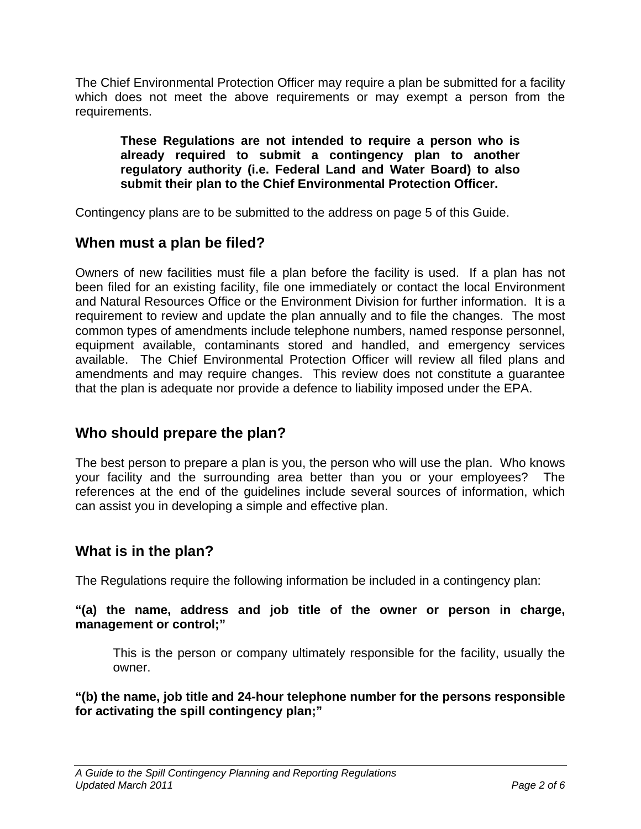The Chief Environmental Protection Officer may require a plan be submitted for a facility which does not meet the above requirements or may exempt a person from the requirements.

**These Regulations are not intended to require a person who is already required to submit a contingency plan to another regulatory authority (i.e. Federal Land and Water Board) to also submit their plan to the Chief Environmental Protection Officer.** 

Contingency plans are to be submitted to the address on page 5 of this Guide.

# **When must a plan be filed?**

Owners of new facilities must file a plan before the facility is used. If a plan has not been filed for an existing facility, file one immediately or contact the local Environment and Natural Resources Office or the Environment Division for further information. It is a requirement to review and update the plan annually and to file the changes. The most common types of amendments include telephone numbers, named response personnel, equipment available, contaminants stored and handled, and emergency services available. The Chief Environmental Protection Officer will review all filed plans and amendments and may require changes. This review does not constitute a guarantee that the plan is adequate nor provide a defence to liability imposed under the EPA.

# **Who should prepare the plan?**

The best person to prepare a plan is you, the person who will use the plan. Who knows your facility and the surrounding area better than you or your employees? The references at the end of the guidelines include several sources of information, which can assist you in developing a simple and effective plan.

## **What is in the plan?**

The Regulations require the following information be included in a contingency plan:

#### **"(a) the name, address and job title of the owner or person in charge, management or control;"**

This is the person or company ultimately responsible for the facility, usually the owner.

**"(b) the name, job title and 24-hour telephone number for the persons responsible for activating the spill contingency plan;"**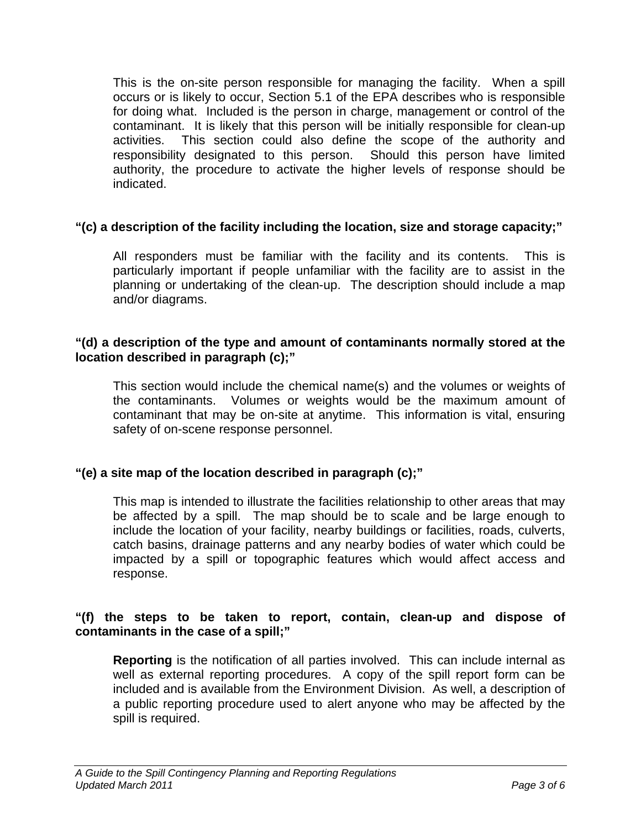This is the on-site person responsible for managing the facility. When a spill occurs or is likely to occur, Section 5.1 of the EPA describes who is responsible for doing what. Included is the person in charge, management or control of the contaminant. It is likely that this person will be initially responsible for clean-up activities. This section could also define the scope of the authority and responsibility designated to this person. Should this person have limited authority, the procedure to activate the higher levels of response should be indicated.

## **"(c) a description of the facility including the location, size and storage capacity;"**

All responders must be familiar with the facility and its contents. This is particularly important if people unfamiliar with the facility are to assist in the planning or undertaking of the clean-up. The description should include a map and/or diagrams.

#### **"(d) a description of the type and amount of contaminants normally stored at the location described in paragraph (c);"**

This section would include the chemical name(s) and the volumes or weights of the contaminants. Volumes or weights would be the maximum amount of contaminant that may be on-site at anytime. This information is vital, ensuring safety of on-scene response personnel.

## **"(e) a site map of the location described in paragraph (c);"**

This map is intended to illustrate the facilities relationship to other areas that may be affected by a spill. The map should be to scale and be large enough to include the location of your facility, nearby buildings or facilities, roads, culverts, catch basins, drainage patterns and any nearby bodies of water which could be impacted by a spill or topographic features which would affect access and response.

#### **"(f) the steps to be taken to report, contain, clean-up and dispose of contaminants in the case of a spill;"**

**Reporting** is the notification of all parties involved. This can include internal as well as external reporting procedures. A copy of the spill report form can be included and is available from the Environment Division. As well, a description of a public reporting procedure used to alert anyone who may be affected by the spill is required.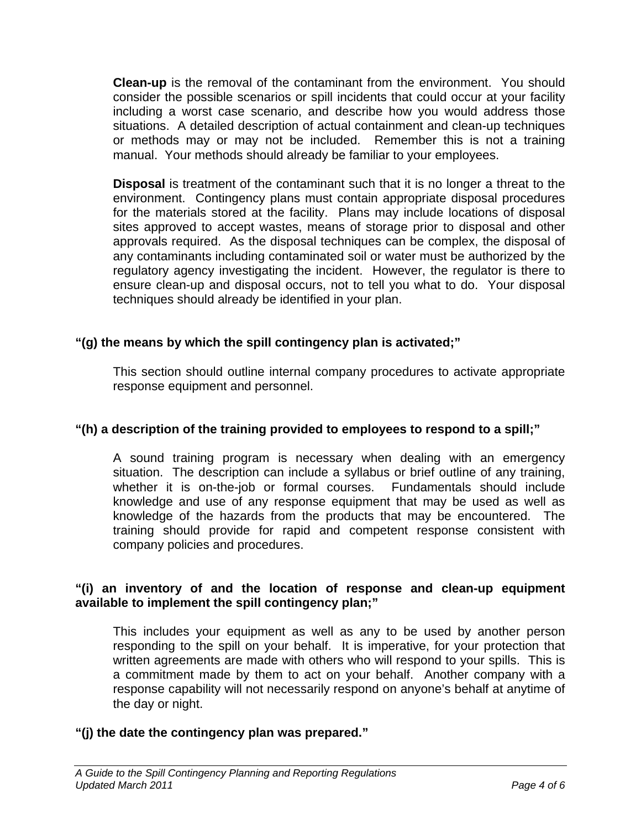**Clean-up** is the removal of the contaminant from the environment. You should consider the possible scenarios or spill incidents that could occur at your facility including a worst case scenario, and describe how you would address those situations. A detailed description of actual containment and clean-up techniques or methods may or may not be included. Remember this is not a training manual. Your methods should already be familiar to your employees.

**Disposal** is treatment of the contaminant such that it is no longer a threat to the environment. Contingency plans must contain appropriate disposal procedures for the materials stored at the facility. Plans may include locations of disposal sites approved to accept wastes, means of storage prior to disposal and other approvals required. As the disposal techniques can be complex, the disposal of any contaminants including contaminated soil or water must be authorized by the regulatory agency investigating the incident. However, the regulator is there to ensure clean-up and disposal occurs, not to tell you what to do. Your disposal techniques should already be identified in your plan.

## **"(g) the means by which the spill contingency plan is activated;"**

This section should outline internal company procedures to activate appropriate response equipment and personnel.

## **"(h) a description of the training provided to employees to respond to a spill;"**

A sound training program is necessary when dealing with an emergency situation. The description can include a syllabus or brief outline of any training, whether it is on-the-job or formal courses. Fundamentals should include knowledge and use of any response equipment that may be used as well as knowledge of the hazards from the products that may be encountered. The training should provide for rapid and competent response consistent with company policies and procedures.

#### **"(i) an inventory of and the location of response and clean-up equipment available to implement the spill contingency plan;"**

This includes your equipment as well as any to be used by another person responding to the spill on your behalf. It is imperative, for your protection that written agreements are made with others who will respond to your spills. This is a commitment made by them to act on your behalf. Another company with a response capability will not necessarily respond on anyone's behalf at anytime of the day or night.

## **"(j) the date the contingency plan was prepared."**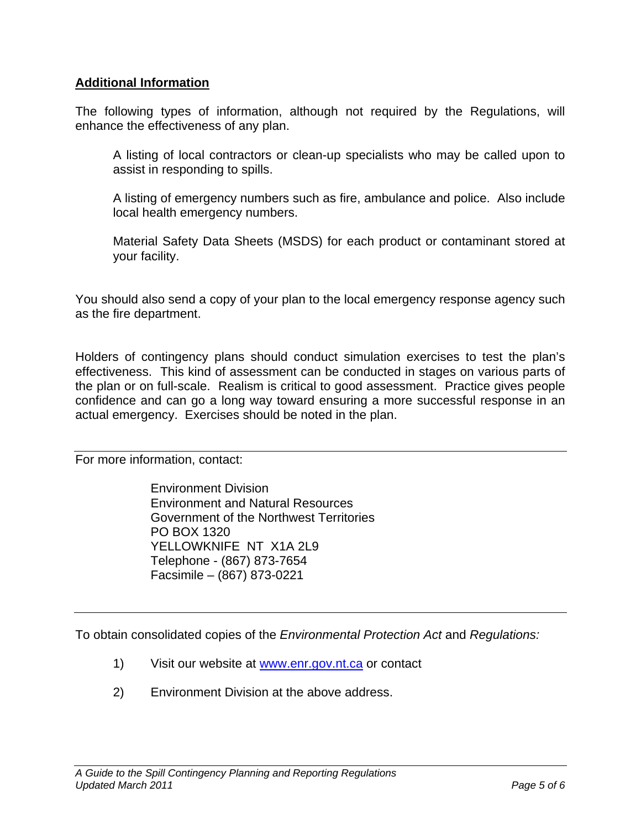#### **Additional Information**

The following types of information, although not required by the Regulations, will enhance the effectiveness of any plan.

A listing of local contractors or clean-up specialists who may be called upon to assist in responding to spills.

A listing of emergency numbers such as fire, ambulance and police. Also include local health emergency numbers.

Material Safety Data Sheets (MSDS) for each product or contaminant stored at your facility.

You should also send a copy of your plan to the local emergency response agency such as the fire department.

Holders of contingency plans should conduct simulation exercises to test the plan's effectiveness. This kind of assessment can be conducted in stages on various parts of the plan or on full-scale. Realism is critical to good assessment. Practice gives people confidence and can go a long way toward ensuring a more successful response in an actual emergency. Exercises should be noted in the plan.

For more information, contact:

 Environment Division Environment and Natural Resources Government of the Northwest Territories PO BOX 1320 YELLOWKNIFE NT X1A 2L9 Telephone - (867) 873-7654 Facsimile – (867) 873-0221

To obtain consolidated copies of the *Environmental Protection Act* and *Regulations:*

- 1) Visit our website at www.enr.gov.nt.ca or contact
- 2) Environment Division at the above address.